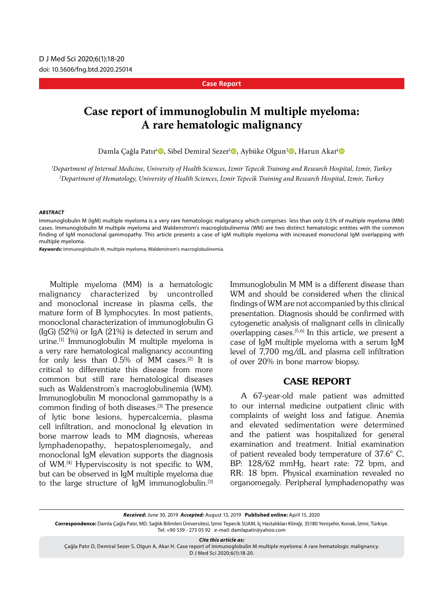#### **Case Report**

# **Case report of immunoglobulin M multiple myeloma: A rare hematologic malignancy**

Damla Çağla Patır<sup>ı</sup> $\bullet$ , Sibel Demiral Sezer<sup>ı</sup> $\bullet$ , Aybüke Olgun<sup>2</sup> $\bullet$ , Harun Akar<sup>ı</sup> $\bullet$ 

*1 Department of Internal Medicine, University of Health Sciences, Izmir Tepecik Training and Research Hospital, Izmir, Turkey 2 Department of Hematology, University of Health Sciences, İzmir Tepecik Training and Research Hospital, Izmir, Turkey*

#### *ABSTRACT*

Immunoglobulin M (IgM) multiple myeloma is a very rare hematologic malignancy which comprises less than only 0.5% of multiple myeloma (MM) cases. Immunoglobulin M multiple myeloma and Waldenstrom's macroglobulinemia (WM) are two distinct hematologic entities with the common finding of IgM monoclonal gammopathy. This article presents a case of IgM multiple myeloma with increased monoclonal IgM overlapping with multiple myeloma.

*Keywords:* Immunoglobulin M, multiple myeloma, Waldenstrom's macroglobulinemia.

Multiple myeloma (MM) is a hematologic malignancy characterized by uncontrolled and monoclonal increase in plasma cells, the mature form of B lymphocytes. In most patients, monoclonal characterization of immunoglobulin G (IgG) (52%) or IgA (21%) is detected in serum and urine.[1] Immunoglobulin M multiple myeloma is a very rare hematological malignancy accounting for only less than 0.5% of MM cases.[2] It is critical to differentiate this disease from more common but still rare hematological diseases such as Waldenstrom's macroglobulinemia (WM). Immunoglobulin M monoclonal gammopathy is a common finding of both diseases.[3] The presence of lytic bone lesions, hypercalcemia, plasma cell infiltration, and monoclonal Ig elevation in bone marrow leads to MM diagnosis, whereas lymphadenopathy, hepatosplenomegaly, and monoclonal IgM elevation supports the diagnosis of WM.[4] Hyperviscosity is not specific to WM, but can be observed in IgM multiple myeloma due to the large structure of IgM immunoglobulin.[3] Immunoglobulin M MM is a different disease than WM and should be considered when the clinical findings of WM are not accompanied by this clinical presentation. Diagnosis should be confirmed with cytogenetic analysis of malignant cells in clinically overlapping cases.<sup>[5,6]</sup> In this article, we present a case of IgM multiple myeloma with a serum IgM level of 7,700 mg/dL and plasma cell infiltration of over 20% in bone marrow biopsy.

## CASE REPORT

A 67-year-old male patient was admitted to our internal medicine outpatient clinic with complaints of weight loss and fatigue. Anemia and elevated sedimentation were determined and the patient was hospitalized for general examination and treatment. Initial examination of patient revealed body temperature of 37.6° C, BP: 128/62 mmHg, heart rate: 72 bpm, and RR: 18 bpm. Physical examination revealed no organomegaly. Peripheral lymphadenopathy was

*Received:* June 30, 2019 *Accepted:* August 13, 2019 **Published online:** April 15, 2020

**Correspondence:** Damla Çağla Patır, MD. Sağlık Bilimleri Üniversitesi, İzmir Tepecik SUAM, İç Hastalıkları Kliniği, 35180 Yenişehir, Konak, İzmir, Türkiye. Tel: +90 539 - 273 05 92 e-mail: damlapatir@yahoo.com

*Cite this article as:*

Çağla Patır D, Demiral Sezer S, Olgun A, Akar H. Case report of immunoglobulin M multiple myeloma: A rare hematologic malignancy. D J Med Sci 2020;6(1):18-20.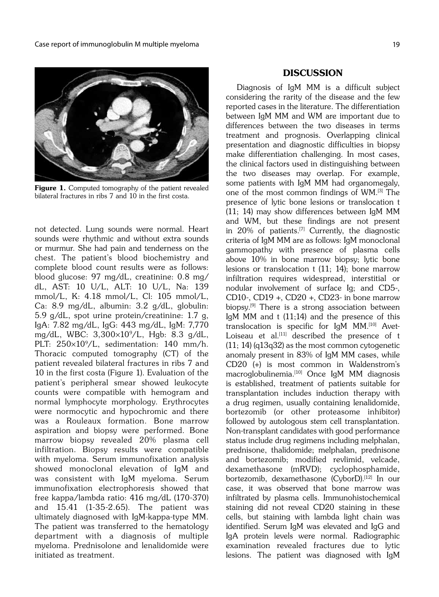

Figure 1. Computed tomography of the patient revealed bilateral fractures in ribs 7 and 10 in the first costa.

not detected. Lung sounds were normal. Heart sounds were rhythmic and without extra sounds or murmur. She had pain and tenderness on the chest. The patient's blood biochemistry and complete blood count results were as follows: blood glucose: 97 mg/dL, creatinine: 0.8 mg/ dL, AST: 10 U/L, ALT: 10 U/L, Na: 139 mmol/L, K: 4.18 mmol/L, Cl: 105 mmol/L, Ca: 8.9 mg/dL, albumin: 3.2 g/dL, globulin: 5.9 g/dL, spot urine protein/creatinine: 1.7 g, IgA: 7.82 mg/dL, IgG: 443 mg/dL, IgM: 7,770 mg/dL, WBC: 3,300¥109/L, Hgb: 8.3 g/dL, PLT:  $250\times10^{9}/L$ , sedimentation: 140 mm/h. Thoracic computed tomography (CT) of the patient revealed bilateral fractures in ribs 7 and 10 in the first costa (Figure 1). Evaluation of the patient's peripheral smear showed leukocyte counts were compatible with hemogram and normal lymphocyte morphology. Erythrocytes were normocytic and hypochromic and there was a Rouleaux formation. Bone marrow aspiration and biopsy were performed. Bone marrow biopsy revealed 20% plasma cell infiltration. Biopsy results were compatible with myeloma. Serum immunofixation analysis showed monoclonal elevation of IgM and was consistent with IgM myeloma. Serum immunofixation electrophoresis showed that free kappa/lambda ratio: 416 mg/dL (170-370) and 15.41 (1-35-2.65). The patient was ultimately diagnosed with IgM-kappa-type MM. The patient was transferred to the hematology department with a diagnosis of multiple myeloma. Prednisolone and lenalidomide were initiated as treatment.

#### DISCUSSION

Diagnosis of IgM MM is a difficult subject considering the rarity of the disease and the few reported cases in the literature. The differentiation between IgM MM and WM are important due to differences between the two diseases in terms treatment and prognosis. Overlapping clinical presentation and diagnostic difficulties in biopsy make differentiation challenging. In most cases, the clinical factors used in distinguishing between the two diseases may overlap. For example, some patients with IgM MM had organomegaly, one of the most common findings of WM.[3] The presence of lytic bone lesions or translocation t (11; 14) may show differences between IgM MM and WM, but these findings are not present in  $20\%$  of patients.<sup>[7]</sup> Currently, the diagnostic criteria of IgM MM are as follows: IgM monoclonal gammopathy with presence of plasma cells above 10% in bone marrow biopsy; lytic bone lesions or translocation t (11; 14); bone marrow infiltration requires widespread, interstitial or nodular involvement of surface Ig; and CD5-, CD10-, CD19 +, CD20 +, CD23- in bone marrow biopsy.<sup>[9]</sup> There is a strong association between IgM MM and t (11;14) and the presence of this translocation is specific for IgM MM.[10] Avet-Loiseau et al. $[11]$  described the presence of t (11; 14) (q13q32) as the most common cytogenetic anomaly present in 83% of IgM MM cases, while CD20 (+) is most common in Waldenstrom's macroglobulinemia.<sup>[10]</sup> Once IgM MM diagnosis is established, treatment of patients suitable for transplantation includes induction therapy with a drug regimen, usually containing lenalidomide, bortezomib (or other proteasome inhibitor) followed by autologous stem cell transplantation. Non-transplant candidates with good performance status include drug regimens including melphalan, prednisone, thalidomide; melphalan, prednisone and bortezomib; modified revlimid, velcade, dexamethasone (mRVD); cyclophosphamide, bortezomib, dexamethasone (CyborD).<sup>[12]</sup> In our case, it was observed that bone marrow was infiltrated by plasma cells. Immunohistochemical staining did not reveal CD20 staining in these cells, but staining with lambda light chain was identified. Serum IgM was elevated and IgG and IgA protein levels were normal. Radiographic examination revealed fractures due to lytic lesions. The patient was diagnosed with IgM